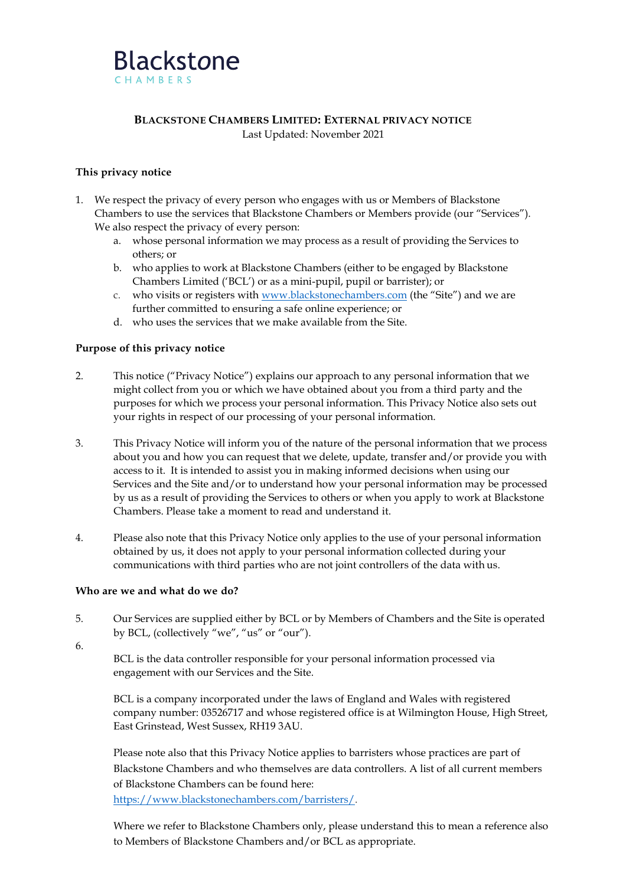

## **BLACKSTONE CHAMBERS LIMITED: EXTERNAL PRIVACY NOTICE** Last Updated: November 2021

# **This privacy notice**

- 1. We respect the privacy of every person who engages with us or Members of Blackstone Chambers to use the services that Blackstone Chambers or Members provide (our "Services"). We also respect the privacy of every person:
	- a. whose personal information we may process as a result of providing the Services to others; or
	- b. who applies to work at Blackstone Chambers (either to be engaged by Blackstone Chambers Limited ('BCL') or as a mini-pupil, pupil or barrister); or
	- c. who visits or registers with [www.blackstonechambers.com](http://www.blackstonechambers.com/) (the "Site") and we are further committed to ensuring a safe online experience; or
	- d. who uses the services that we make available from the Site.

# **Purpose of this privacy notice**

- 2. This notice ("Privacy Notice") explains our approach to any personal information that we might collect from you or which we have obtained about you from a third party and the purposes for which we process your personal information. This Privacy Notice also sets out your rights in respect of our processing of your personal information.
- 3. This Privacy Notice will inform you of the nature of the personal information that we process about you and how you can request that we delete, update, transfer and/or provide you with access to it. It is intended to assist you in making informed decisions when using our Services and the Site and/or to understand how your personal information may be processed by us as a result of providing the Services to others or when you apply to work at Blackstone Chambers. Please take a moment to read and understand it.
- 4. Please also note that this Privacy Notice only applies to the use of your personal information obtained by us, it does not apply to your personal information collected during your communications with third parties who are not joint controllers of the data with us.

## **Who are we and what do we do?**

- 5. Our Services are supplied either by BCL or by Members of Chambers and the Site is operated by BCL, (collectively "we", "us" or "our").
- 6.

BCL is the data controller responsible for your personal information processed via engagement with our Services and the Site.

BCL is a company incorporated under the laws of England and Wales with registered company number: 03526717 and whose registered office is at Wilmington House, High Street, East Grinstead, West Sussex, RH19 3AU.

Please note also that this Privacy Notice applies to barristers whose practices are part of Blackstone Chambers and who themselves are data controllers. A list of all current members of Blackstone Chambers can be found here: https:/[/www.blackstonechambers.com/barristers/.](http://www.blackstonechambers.com/barristers/)

Where we refer to Blackstone Chambers only, please understand this to mean a reference also to Members of Blackstone Chambers and/or BCL as appropriate.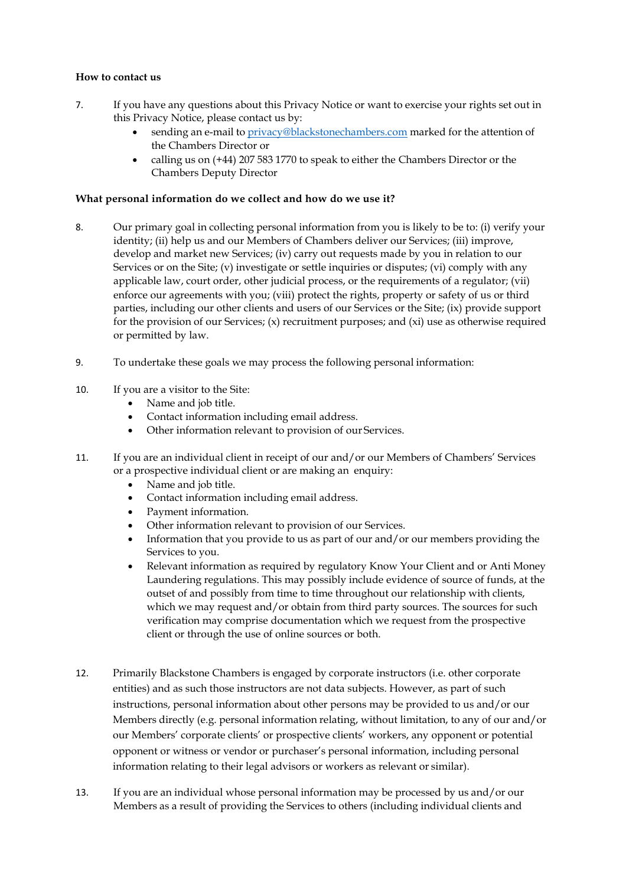# **How to contact us**

- 7. If you have any questions about this Privacy Notice or want to exercise your rights set out in this Privacy Notice, please contact us by:
	- sending an e-mail to [privacy@blackstonechambers.com](mailto:privacy@blackstonechambers.com) marked for the attention of the Chambers Director or
	- calling us on (+44) 207 583 1770 to speak to either the Chambers Director or the Chambers Deputy Director

## **What personal information do we collect and how do we use it?**

- 8. Our primary goal in collecting personal information from you is likely to be to: (i) verify your identity; (ii) help us and our Members of Chambers deliver our Services; (iii) improve, develop and market new Services; (iv) carry out requests made by you in relation to our Services or on the Site; (v) investigate or settle inquiries or disputes; (vi) comply with any applicable law, court order, other judicial process, or the requirements of a regulator; (vii) enforce our agreements with you; (viii) protect the rights, property or safety of us or third parties, including our other clients and users of our Services or the Site; (ix) provide support for the provision of our Services;  $(x)$  recruitment purposes; and  $(xi)$  use as otherwise required or permitted by law.
- 9. To undertake these goals we may process the following personal information:
- 10. If you are a visitor to the Site:
	- Name and job title.
	- Contact information including email address.
	- Other information relevant to provision of our Services.
- 11. If you are an individual client in receipt of our and/or our Members of Chambers' Services or a prospective individual client or are making an enquiry:
	- Name and job title.
	- Contact information including email address.
	- Payment information.
	- Other information relevant to provision of our Services.
	- Information that you provide to us as part of our and/or our members providing the Services to you.
	- Relevant information as required by regulatory Know Your Client and or Anti Money Laundering regulations. This may possibly include evidence of source of funds, at the outset of and possibly from time to time throughout our relationship with clients, which we may request and/or obtain from third party sources. The sources for such verification may comprise documentation which we request from the prospective client or through the use of online sources or both.
- 12. Primarily Blackstone Chambers is engaged by corporate instructors (i.e. other corporate entities) and as such those instructors are not data subjects. However, as part of such instructions, personal information about other persons may be provided to us and/or our Members directly (e.g. personal information relating, without limitation, to any of our and/or our Members' corporate clients' or prospective clients' workers, any opponent or potential opponent or witness or vendor or purchaser's personal information, including personal information relating to their legal advisors or workers as relevant or similar).
- 13. If you are an individual whose personal information may be processed by us and/or our Members as a result of providing the Services to others (including individual clients and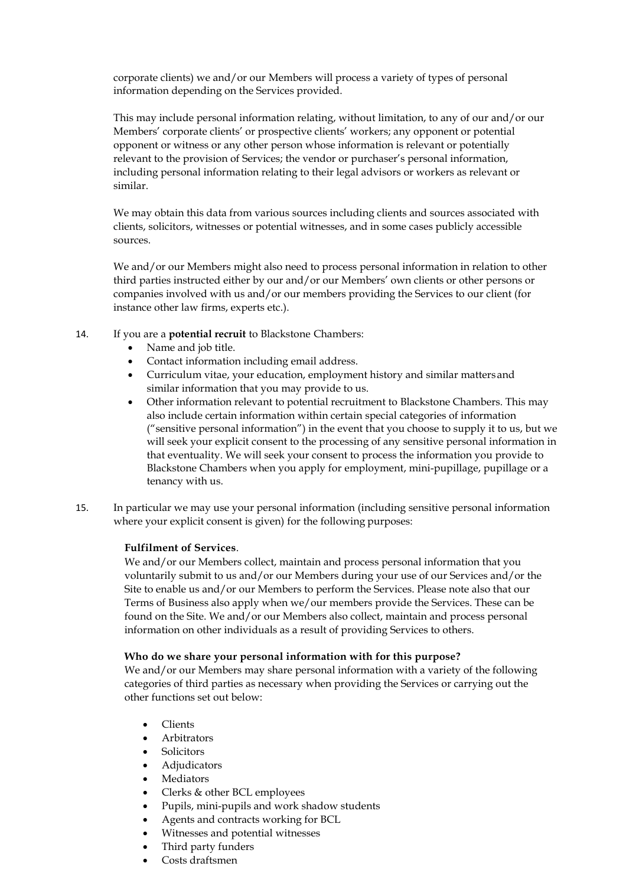corporate clients) we and/or our Members will process a variety of types of personal information depending on the Services provided.

This may include personal information relating, without limitation, to any of our and/or our Members' corporate clients' or prospective clients' workers; any opponent or potential opponent or witness or any other person whose information is relevant or potentially relevant to the provision of Services; the vendor or purchaser's personal information, including personal information relating to their legal advisors or workers as relevant or similar.

We may obtain this data from various sources including clients and sources associated with clients, solicitors, witnesses or potential witnesses, and in some cases publicly accessible sources.

We and/or our Members might also need to process personal information in relation to other third parties instructed either by our and/or our Members' own clients or other persons or companies involved with us and/or our members providing the Services to our client (for instance other law firms, experts etc.).

- 14. If you are a **potential recruit** to Blackstone Chambers:
	- Name and job title.
	- Contact information including email address.
	- Curriculum vitae, your education, employment history and similar mattersand similar information that you may provide to us.
	- Other information relevant to potential recruitment to Blackstone Chambers. This may also include certain information within certain special categories of information ("sensitive personal information") in the event that you choose to supply it to us, but we will seek your explicit consent to the processing of any sensitive personal information in that eventuality. We will seek your consent to process the information you provide to Blackstone Chambers when you apply for employment, mini-pupillage, pupillage or a tenancy with us.
- 15. In particular we may use your personal information (including sensitive personal information where your explicit consent is given) for the following purposes:

## **Fulfilment of Services**.

We and/or our Members collect, maintain and process personal information that you voluntarily submit to us and/or our Members during your use of our Services and/or the Site to enable us and/or our Members to perform the Services. Please note also that our Terms of Business also apply when we/our members provide the Services. These can be found on the Site. We and/or our Members also collect, maintain and process personal information on other individuals as a result of providing Services to others.

## **Who do we share your personal information with for this purpose?**

We and/or our Members may share personal information with a variety of the following categories of third parties as necessary when providing the Services or carrying out the other functions set out below:

- Clients
- Arbitrators
- Solicitors
- Adjudicators
- Mediators
- Clerks & other BCL employees
- Pupils, mini-pupils and work shadow students
- Agents and contracts working for BCL
- Witnesses and potential witnesses
- Third party funders
- Costs draftsmen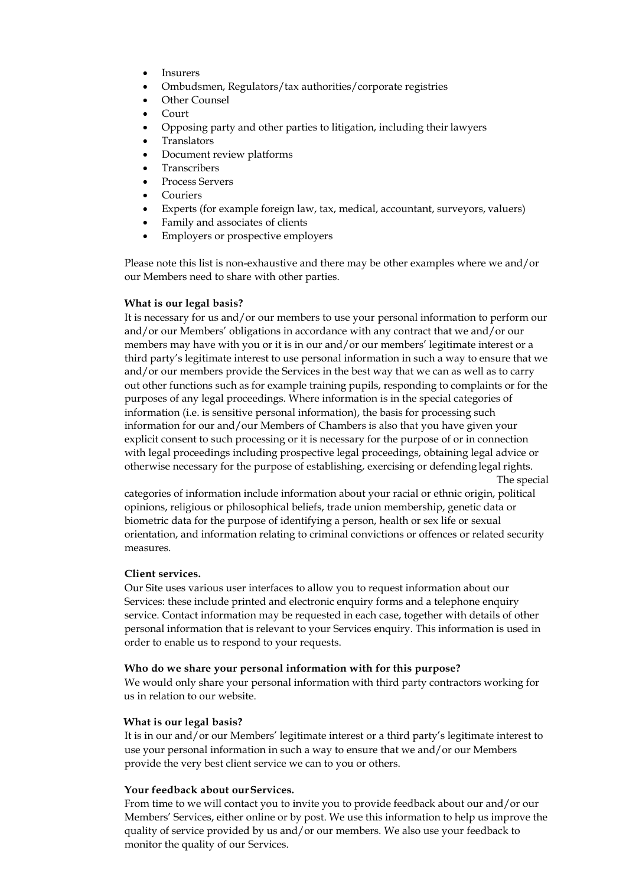- **Insurers**
- Ombudsmen, Regulators/tax authorities/corporate registries
- Other Counsel
- Court
- Opposing party and other parties to litigation, including their lawyers
- **Translators**
- Document review platforms
- **Transcribers**
- Process Servers
- Couriers
- Experts (for example foreign law, tax, medical, accountant, surveyors, valuers)
- Family and associates of clients
- Employers or prospective employers

Please note this list is non-exhaustive and there may be other examples where we and/or our Members need to share with other parties.

#### **What is our legal basis?**

It is necessary for us and/or our members to use your personal information to perform our and/or our Members' obligations in accordance with any contract that we and/or our members may have with you or it is in our and/or our members' legitimate interest or a third party's legitimate interest to use personal information in such a way to ensure that we and/or our members provide the Services in the best way that we can as well as to carry out other functions such as for example training pupils, responding to complaints or for the purposes of any legal proceedings. Where information is in the special categories of information (i.e. is sensitive personal information), the basis for processing such information for our and/our Members of Chambers is also that you have given your explicit consent to such processing or it is necessary for the purpose of or in connection with legal proceedings including prospective legal proceedings, obtaining legal advice or otherwise necessary for the purpose of establishing, exercising or defending legal rights. The special

categories of information include information about your racial or ethnic origin, political opinions, religious or philosophical beliefs, trade union membership, genetic data or biometric data for the purpose of identifying a person, health or sex life or sexual orientation, and information relating to criminal convictions or offences or related security measures.

#### **Client services.**

Our Site uses various user interfaces to allow you to request information about our Services: these include printed and electronic enquiry forms and a telephone enquiry service. Contact information may be requested in each case, together with details of other personal information that is relevant to your Services enquiry. This information is used in order to enable us to respond to your requests.

#### **Who do we share your personal information with for this purpose?**

We would only share your personal information with third party contractors working for us in relation to our website.

#### **What is our legal basis?**

It is in our and/or our Members' legitimate interest or a third party's legitimate interest to use your personal information in such a way to ensure that we and/or our Members provide the very best client service we can to you or others.

## **Your feedback about ourServices.**

From time to we will contact you to invite you to provide feedback about our and/or our Members' Services, either online or by post. We use this information to help us improve the quality of service provided by us and/or our members. We also use your feedback to monitor the quality of our Services.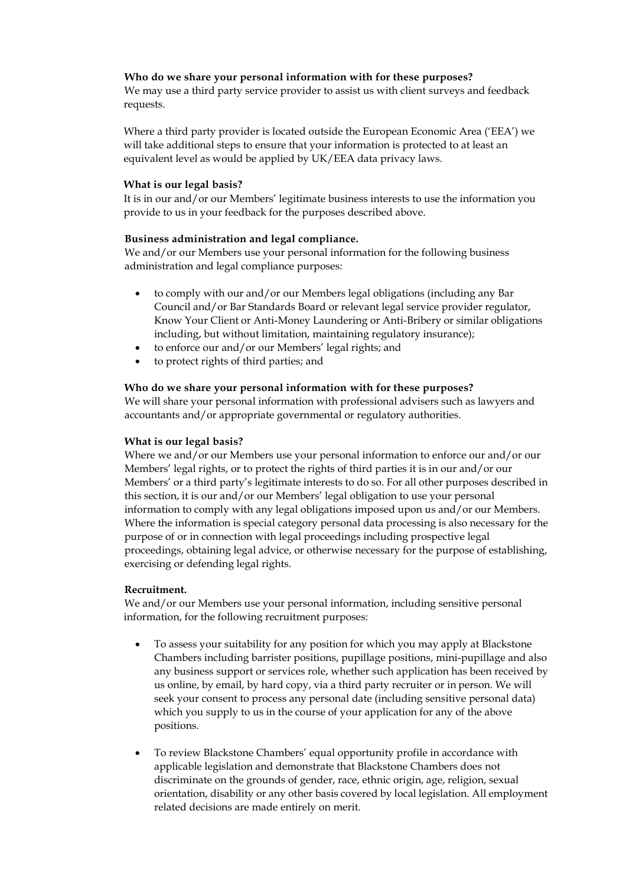## **Who do we share your personal information with for these purposes?**

We may use a third party service provider to assist us with client surveys and feedback requests.

Where a third party provider is located outside the European Economic Area ('EEA') we will take additional steps to ensure that your information is protected to at least an equivalent level as would be applied by UK/EEA data privacy laws.

#### **What is our legal basis?**

It is in our and/or our Members' legitimate business interests to use the information you provide to us in your feedback for the purposes described above.

# **Business administration and legal compliance.**

We and/or our Members use your personal information for the following business administration and legal compliance purposes:

- to comply with our and/or our Members legal obligations (including any Bar Council and/or Bar Standards Board or relevant legal service provider regulator, Know Your Client or Anti-Money Laundering or Anti-Bribery or similar obligations including, but without limitation, maintaining regulatory insurance);
- to enforce our and/or our Members' legal rights; and
- to protect rights of third parties; and

## **Who do we share your personal information with for these purposes?**

We will share your personal information with professional advisers such as lawyers and accountants and/or appropriate governmental or regulatory authorities.

#### **What is our legal basis?**

Where we and/or our Members use your personal information to enforce our and/or our Members' legal rights, or to protect the rights of third parties it is in our and/or our Members' or a third party's legitimate interests to do so. For all other purposes described in this section, it is our and/or our Members' legal obligation to use your personal information to comply with any legal obligations imposed upon us and/or our Members. Where the information is special category personal data processing is also necessary for the purpose of or in connection with legal proceedings including prospective legal proceedings, obtaining legal advice, or otherwise necessary for the purpose of establishing, exercising or defending legal rights.

#### **Recruitment.**

We and/or our Members use your personal information, including sensitive personal information, for the following recruitment purposes:

- To assess your suitability for any position for which you may apply at Blackstone Chambers including barrister positions, pupillage positions, mini-pupillage and also any business support or services role, whether such application has been received by us online, by email, by hard copy, via a third party recruiter or in person. We will seek your consent to process any personal date (including sensitive personal data) which you supply to us in the course of your application for any of the above positions.
- To review Blackstone Chambers' equal opportunity profile in accordance with applicable legislation and demonstrate that Blackstone Chambers does not discriminate on the grounds of gender, race, ethnic origin, age, religion, sexual orientation, disability or any other basis covered by local legislation. All employment related decisions are made entirely on merit.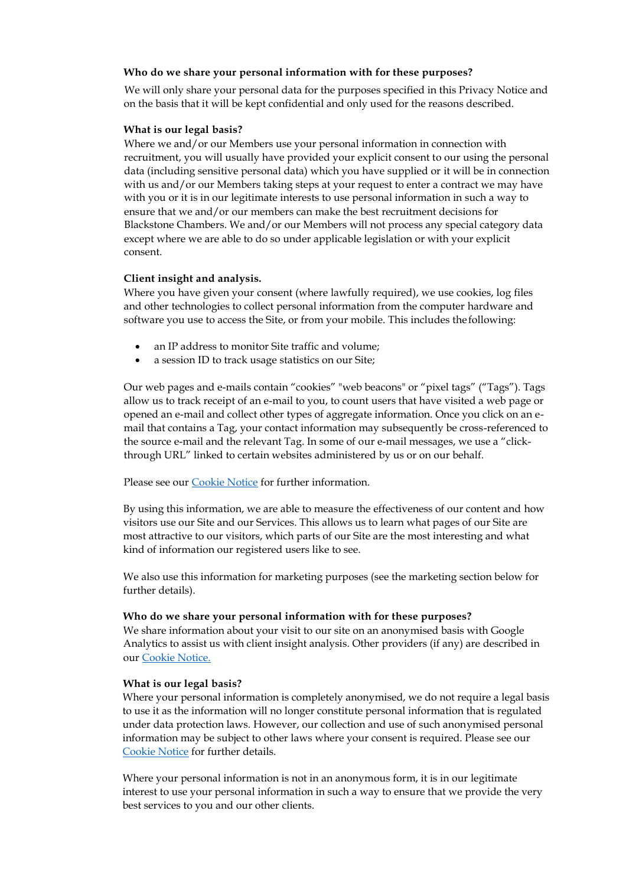## **Who do we share your personal information with for these purposes?**

We will only share your personal data for the purposes specified in this Privacy Notice and on the basis that it will be kept confidential and only used for the reasons described.

#### **What is our legal basis?**

Where we and/or our Members use your personal information in connection with recruitment, you will usually have provided your explicit consent to our using the personal data (including sensitive personal data) which you have supplied or it will be in connection with us and/or our Members taking steps at your request to enter a contract we may have with you or it is in our legitimate interests to use personal information in such a way to ensure that we and/or our members can make the best recruitment decisions for Blackstone Chambers. We and/or our Members will not process any special category data except where we are able to do so under applicable legislation or with your explicit consent.

#### **Client insight and analysis.**

Where you have given your consent (where lawfully required), we use cookies, log files and other technologies to collect personal information from the computer hardware and software you use to access the Site, or from your mobile. This includes the following:

- an IP address to monitor Site traffic and volume;
- a session ID to track usage statistics on our Site;

Our web pages and e-mails contain "cookies" "web beacons" or "pixel tags" ("Tags"). Tags allow us to track receipt of an e-mail to you, to count users that have visited a web page or opened an e-mail and collect other types of aggregate information. Once you click on an email that contains a Tag, your contact information may subsequently be cross-referenced to the source e-mail and the relevant Tag. In some of our e-mail messages, we use a "clickthrough URL" linked to certain websites administered by us or on our behalf.

Please see our Cookie Notice for further information.

By using this information, we are able to measure the effectiveness of our content and how visitors use our Site and our Services. This allows us to learn what pages of our Site are most attractive to our visitors, which parts of our Site are the most interesting and what kind of information our registered users like to see.

We also use this information for marketing purposes (see the marketing section below for further details).

#### **Who do we share your personal information with for these purposes?**

We share information about your visit to our site on an anonymised basis with Google Analytics to assist us with client insight analysis. Other providers (if any) are described in our Cookie Notice.

#### **What is our legal basis?**

Where your personal information is completely anonymised, we do not require a legal basis to use it as the information will no longer constitute personal information that is regulated under data protection laws. However, our collection and use of such anonymised personal information may be subject to other laws where your consent is required. Please see our Cookie Notice for further details.

Where your personal information is not in an anonymous form, it is in our legitimate interest to use your personal information in such a way to ensure that we provide the very best services to you and our other clients.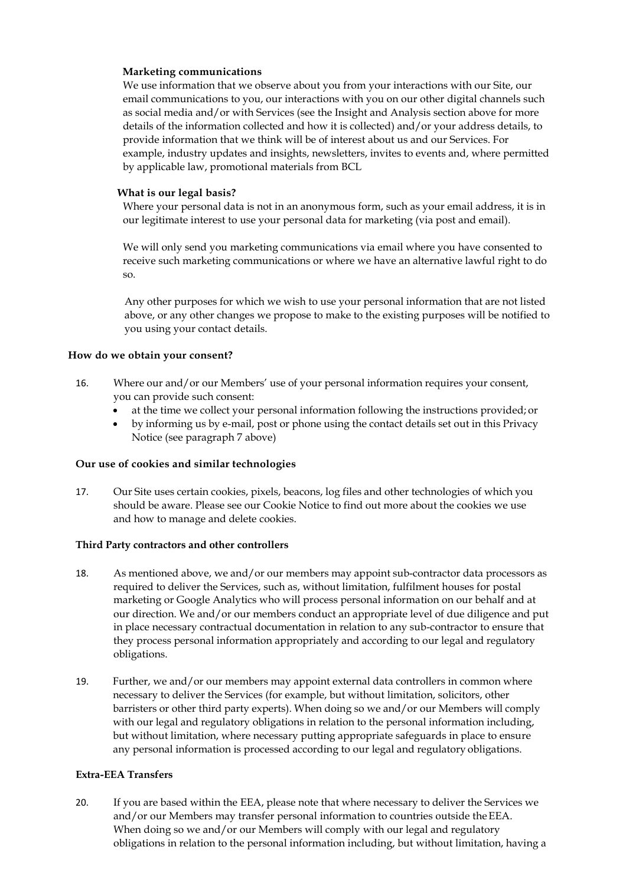## **Marketing communications**

We use information that we observe about you from your interactions with our Site, our email communications to you, our interactions with you on our other digital channels such as social media and/or with Services (see the Insight and Analysis section above for more details of the information collected and how it is collected) and/or your address details, to provide information that we think will be of interest about us and our Services. For example, industry updates and insights, newsletters, invites to events and, where permitted by applicable law, promotional materials from BCL

## **What is our legal basis?**

Where your personal data is not in an anonymous form, such as your email address, it is in our legitimate interest to use your personal data for marketing (via post and email).

We will only send you marketing communications via email where you have consented to receive such marketing communications or where we have an alternative lawful right to do so.

Any other purposes for which we wish to use your personal information that are not listed above, or any other changes we propose to make to the existing purposes will be notified to you using your contact details.

#### **How do we obtain your consent?**

- 16. Where our and/or our Members' use of your personal information requires your consent, you can provide such consent:
	- at the time we collect your personal information following the instructions provided; or
	- by informing us by e-mail, post or phone using the contact details set out in this Privacy Notice (see paragraph 7 above)

#### **Our use of cookies and similar technologies**

17. Our Site uses certain cookies, pixels, beacons, log files and other technologies of which you should be aware. Please see our Cookie Notice to find out more about the cookies we use and how to manage and delete cookies.

#### **Third Party contractors and other controllers**

- 18. As mentioned above, we and/or our members may appoint sub-contractor data processors as required to deliver the Services, such as, without limitation, fulfilment houses for postal marketing or Google Analytics who will process personal information on our behalf and at our direction. We and/or our members conduct an appropriate level of due diligence and put in place necessary contractual documentation in relation to any sub-contractor to ensure that they process personal information appropriately and according to our legal and regulatory obligations.
- 19. Further, we and/or our members may appoint external data controllers in common where necessary to deliver the Services (for example, but without limitation, solicitors, other barristers or other third party experts). When doing so we and/or our Members will comply with our legal and regulatory obligations in relation to the personal information including, but without limitation, where necessary putting appropriate safeguards in place to ensure any personal information is processed according to our legal and regulatory obligations.

#### **Extra-EEA Transfers**

20. If you are based within the EEA, please note that where necessary to deliver the Services we and/or our Members may transfer personal information to countries outside theEEA. When doing so we and/or our Members will comply with our legal and regulatory obligations in relation to the personal information including, but without limitation, having a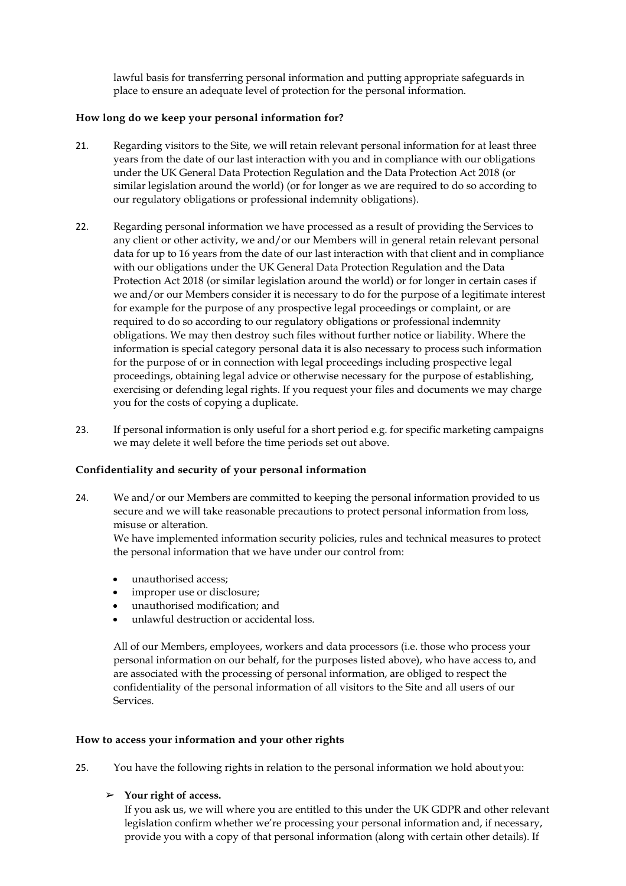lawful basis for transferring personal information and putting appropriate safeguards in place to ensure an adequate level of protection for the personal information.

## **How long do we keep your personal information for?**

- 21. Regarding visitors to the Site, we will retain relevant personal information for at least three years from the date of our last interaction with you and in compliance with our obligations under the UK General Data Protection Regulation and the Data Protection Act 2018 (or similar legislation around the world) (or for longer as we are required to do so according to our regulatory obligations or professional indemnity obligations).
- 22. Regarding personal information we have processed as a result of providing the Services to any client or other activity, we and/or our Members will in general retain relevant personal data for up to 16 years from the date of our last interaction with that client and in compliance with our obligations under the UK General Data Protection Regulation and the Data Protection Act 2018 (or similar legislation around the world) or for longer in certain cases if we and/or our Members consider it is necessary to do for the purpose of a legitimate interest for example for the purpose of any prospective legal proceedings or complaint, or are required to do so according to our regulatory obligations or professional indemnity obligations. We may then destroy such files without further notice or liability. Where the information is special category personal data it is also necessary to process such information for the purpose of or in connection with legal proceedings including prospective legal proceedings, obtaining legal advice or otherwise necessary for the purpose of establishing, exercising or defending legal rights. If you request your files and documents we may charge you for the costs of copying a duplicate.
- 23. If personal information is only useful for a short period e.g. for specific marketing campaigns we may delete it well before the time periods set out above.

## **Confidentiality and security of your personal information**

24. We and/or our Members are committed to keeping the personal information provided to us secure and we will take reasonable precautions to protect personal information from loss, misuse or alteration.

We have implemented information security policies, rules and technical measures to protect the personal information that we have under our control from:

- unauthorised access;
- improper use or disclosure;
- unauthorised modification; and
- unlawful destruction or accidental loss.

All of our Members, employees, workers and data processors (i.e. those who process your personal information on our behalf, for the purposes listed above), who have access to, and are associated with the processing of personal information, are obliged to respect the confidentiality of the personal information of all visitors to the Site and all users of our Services.

## **How to access your information and your other rights**

- 25. You have the following rights in relation to the personal information we hold about you:
	- ➢ **Your right of access.**

If you ask us, we will where you are entitled to this under the UK GDPR and other relevant legislation confirm whether we're processing your personal information and, if necessary, provide you with a copy of that personal information (along with certain other details). If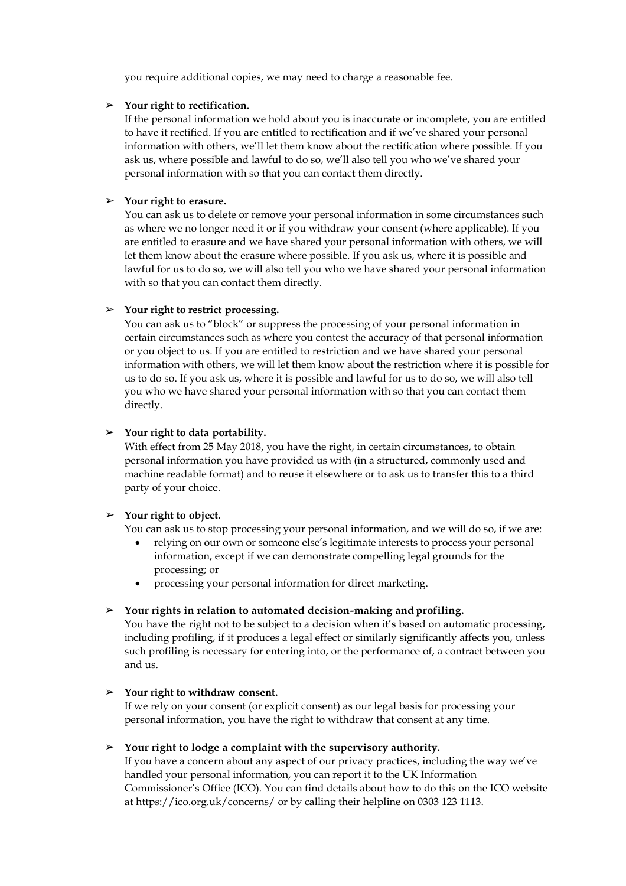you require additional copies, we may need to charge a reasonable fee.

#### ➢ **Your right to rectification.**

If the personal information we hold about you is inaccurate or incomplete, you are entitled to have it rectified. If you are entitled to rectification and if we've shared your personal information with others, we'll let them know about the rectification where possible. If you ask us, where possible and lawful to do so, we'll also tell you who we've shared your personal information with so that you can contact them directly.

## ➢ **Your right to erasure.**

You can ask us to delete or remove your personal information in some circumstances such as where we no longer need it or if you withdraw your consent (where applicable). If you are entitled to erasure and we have shared your personal information with others, we will let them know about the erasure where possible. If you ask us, where it is possible and lawful for us to do so, we will also tell you who we have shared your personal information with so that you can contact them directly.

#### ➢ **Your right to restrict processing.**

You can ask us to "block" or suppress the processing of your personal information in certain circumstances such as where you contest the accuracy of that personal information or you object to us. If you are entitled to restriction and we have shared your personal information with others, we will let them know about the restriction where it is possible for us to do so. If you ask us, where it is possible and lawful for us to do so, we will also tell you who we have shared your personal information with so that you can contact them directly.

## ➢ **Your right to data portability.**

With effect from 25 May 2018, you have the right, in certain circumstances, to obtain personal information you have provided us with (in a structured, commonly used and machine readable format) and to reuse it elsewhere or to ask us to transfer this to a third party of your choice.

## ➢ **Your right to object.**

You can ask us to stop processing your personal information, and we will do so, if we are:

- relying on our own or someone else's legitimate interests to process your personal information, except if we can demonstrate compelling legal grounds for the processing; or
- processing your personal information for direct marketing.

#### ➢ **Your rights in relation to automated decision-making and profiling.**

You have the right not to be subject to a decision when it's based on automatic processing, including profiling, if it produces a legal effect or similarly significantly affects you, unless such profiling is necessary for entering into, or the performance of, a contract between you and us.

#### ➢ **Your right to withdraw consent.**

If we rely on your consent (or explicit consent) as our legal basis for processing your personal information, you have the right to withdraw that consent at any time.

## ➢ **Your right to lodge a complaint with the supervisory authority.**

If you have a concern about any aspect of our privacy practices, including the way we've handled your personal information, you can report it to the UK Information Commissioner's Office (ICO). You can find details about how to do this on the ICO website at https://ico.org.uk/concerns/ or by calling their helpline on 0303 123 1113.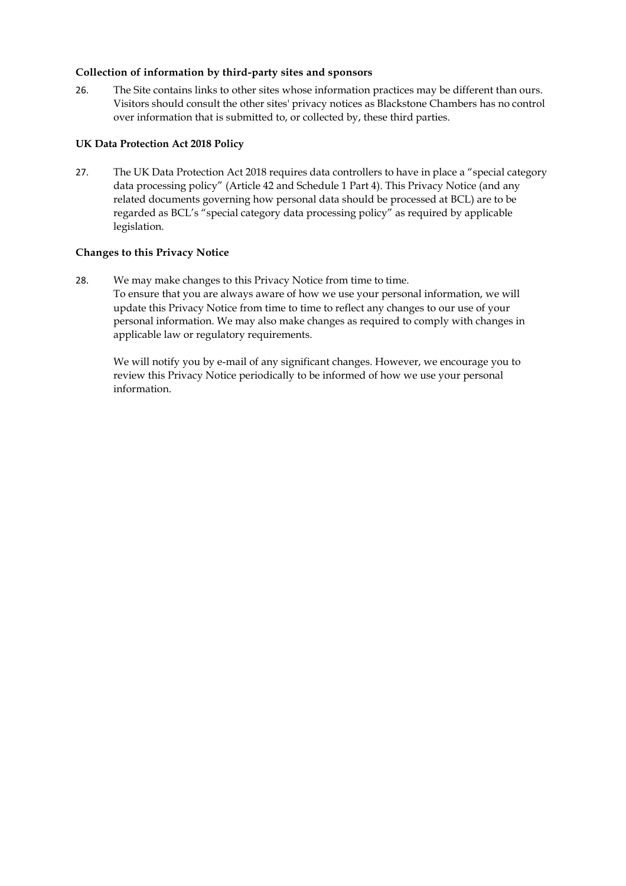# **Collection of information by third-party sites and sponsors**

26. The Site contains links to other sites whose information practices may be different than ours. Visitors should consult the other sites' privacy notices as Blackstone Chambers has no control over information that is submitted to, or collected by, these third parties.

# **UK Data Protection Act 2018 Policy**

27. The UK Data Protection Act 2018 requires data controllers to have in place a "special category data processing policy" (Article 42 and Schedule 1 Part 4). This Privacy Notice (and any related documents governing how personal data should be processed at BCL) are to be regarded as BCL's "special category data processing policy" as required by applicable legislation.

# **Changes to this Privacy Notice**

28. We may make changes to this Privacy Notice from time to time. To ensure that you are always aware of how we use your personal information, we will update this Privacy Notice from time to time to reflect any changes to our use of your personal information. We may also make changes as required to comply with changes in applicable law or regulatory requirements.

We will notify you by e-mail of any significant changes. However, we encourage you to review this Privacy Notice periodically to be informed of how we use your personal information.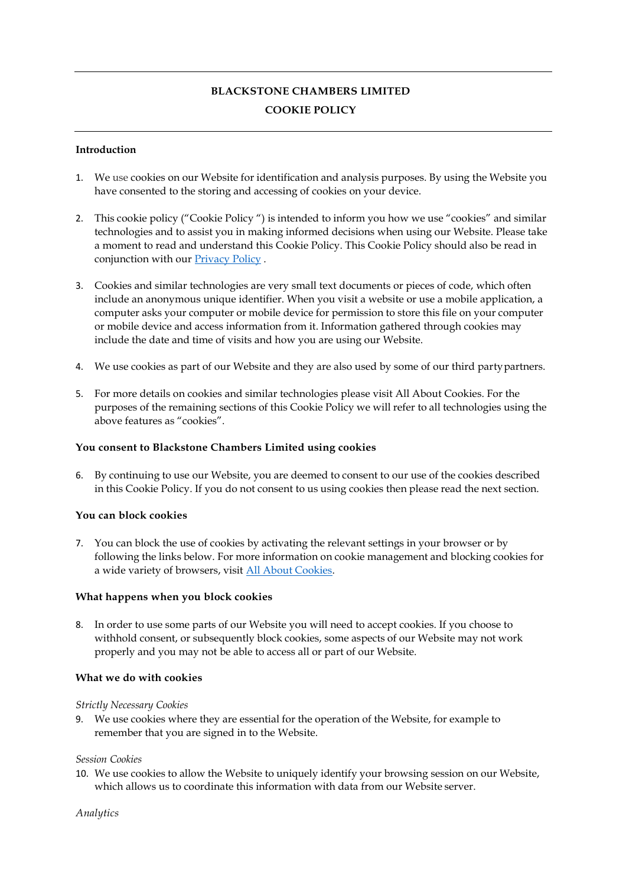# **BLACKSTONE CHAMBERS LIMITED COOKIE POLICY**

## **Introduction**

- 1. We use cookies on our Website for identification and analysis purposes. By using the Website you have consented to the storing and accessing of cookies on your device.
- 2. This cookie policy ("Cookie Policy ") is intended to inform you how we use "cookies" and similar technologies and to assist you in making informed decisions when using our Website. Please take a moment to read and understand this Cookie Policy. This Cookie Policy should also be read in conjunction with our Privacy Policy .
- 3. Cookies and similar technologies are very small text documents or pieces of code, which often include an anonymous unique identifier. When you visit a website or use a mobile application, a computer asks your computer or mobile device for permission to store this file on your computer or mobile device and access information from it. Information gathered through cookies may include the date and time of visits and how you are using our Website.
- 4. We use cookies as part of our Website and they are also used by some of our third partypartners.
- 5. For more details on cookies and similar technologies please visit All About Cookies. For the purposes of the remaining sections of this Cookie Policy we will refer to all technologies using the above features as "cookies".

#### **You consent to Blackstone Chambers Limited using cookies**

6. By continuing to use our Website, you are deemed to consent to our use of the cookies described in this Cookie Policy. If you do not consent to us using cookies then please read the next section.

## **You can block cookies**

7. You can block the use of cookies by activating the relevant settings in your browser or by following the links below. For more information on cookie management and blocking cookies for a wide variety of browsers, visit All About Cookies.

#### **What happens when you block cookies**

8. In order to use some parts of our Website you will need to accept cookies. If you choose to withhold consent, or subsequently block cookies, some aspects of our Website may not work properly and you may not be able to access all or part of our Website.

#### **What we do with cookies**

#### *Strictly Necessary Cookies*

9. We use cookies where they are essential for the operation of the Website, for example to remember that you are signed in to the Website.

#### *Session Cookies*

10. We use cookies to allow the Website to uniquely identify your browsing session on our Website, which allows us to coordinate this information with data from our Website server.

#### *Analytics*